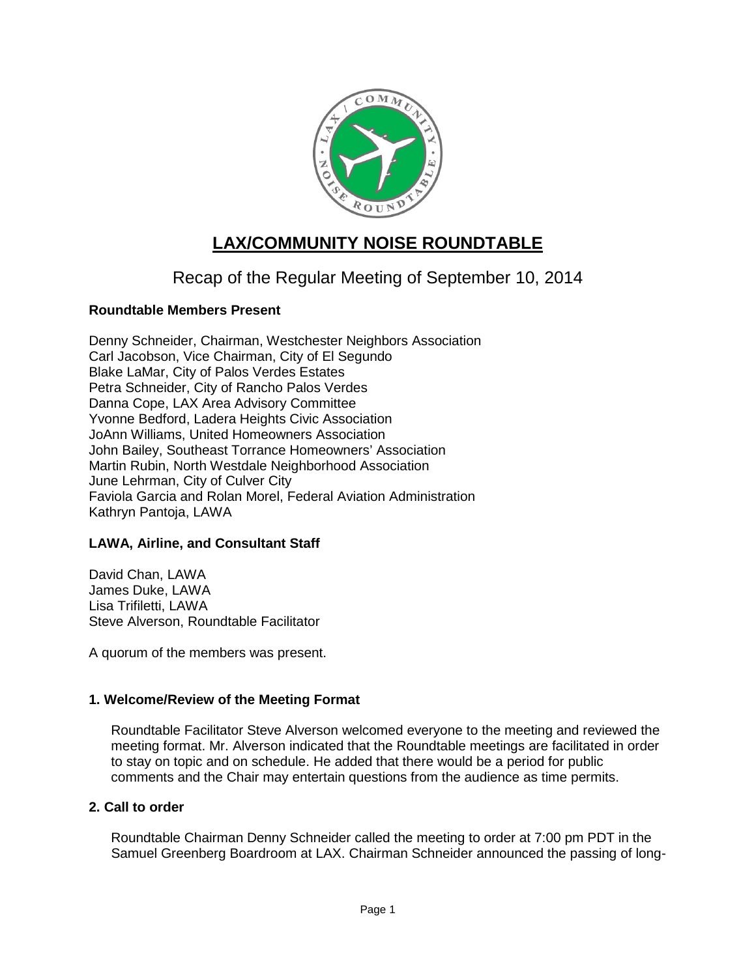

# **LAX/COMMUNITY NOISE ROUNDTABLE**

## Recap of the Regular Meeting of September 10, 2014

## **Roundtable Members Present**

Denny Schneider, Chairman, Westchester Neighbors Association Carl Jacobson, Vice Chairman, City of El Segundo Blake LaMar, City of Palos Verdes Estates Petra Schneider, City of Rancho Palos Verdes Danna Cope, LAX Area Advisory Committee Yvonne Bedford, Ladera Heights Civic Association JoAnn Williams, United Homeowners Association John Bailey, Southeast Torrance Homeowners' Association Martin Rubin, North Westdale Neighborhood Association June Lehrman, City of Culver City Faviola Garcia and Rolan Morel, Federal Aviation Administration Kathryn Pantoja, LAWA

#### **LAWA, Airline, and Consultant Staff**

David Chan, LAWA James Duke, LAWA Lisa Trifiletti, LAWA Steve Alverson, Roundtable Facilitator

A quorum of the members was present.

#### **1. Welcome/Review of the Meeting Format**

Roundtable Facilitator Steve Alverson welcomed everyone to the meeting and reviewed the meeting format. Mr. Alverson indicated that the Roundtable meetings are facilitated in order to stay on topic and on schedule. He added that there would be a period for public comments and the Chair may entertain questions from the audience as time permits.

### **2. Call to order**

Roundtable Chairman Denny Schneider called the meeting to order at 7:00 pm PDT in the Samuel Greenberg Boardroom at LAX. Chairman Schneider announced the passing of long-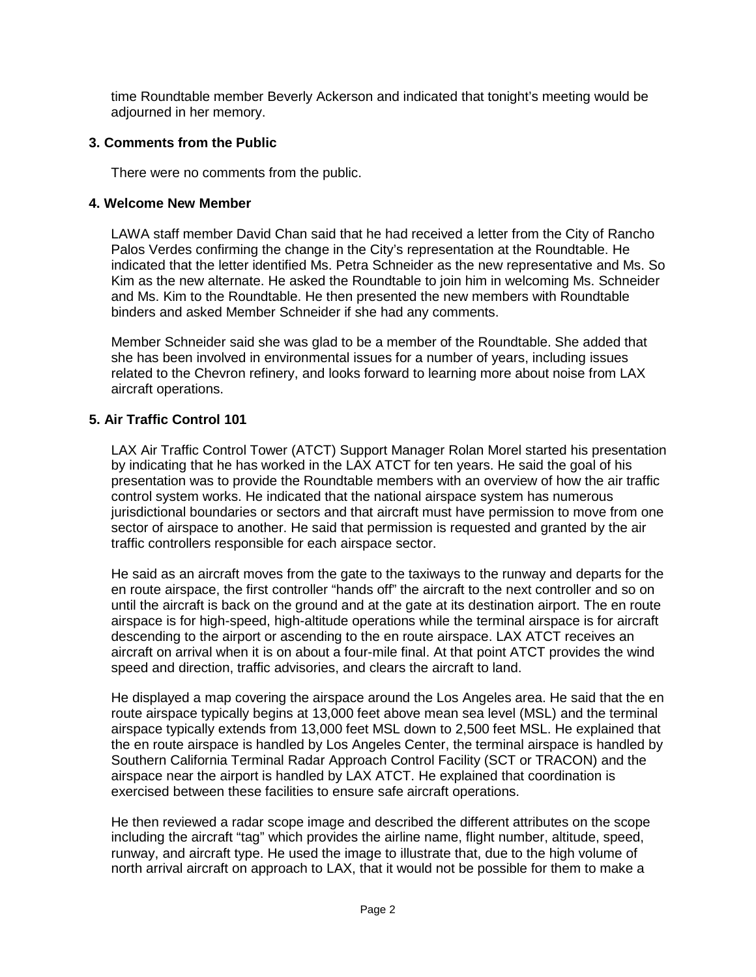time Roundtable member Beverly Ackerson and indicated that tonight's meeting would be adjourned in her memory.

## **3. Comments from the Public**

There were no comments from the public.

## **4. Welcome New Member**

LAWA staff member David Chan said that he had received a letter from the City of Rancho Palos Verdes confirming the change in the City's representation at the Roundtable. He indicated that the letter identified Ms. Petra Schneider as the new representative and Ms. So Kim as the new alternate. He asked the Roundtable to join him in welcoming Ms. Schneider and Ms. Kim to the Roundtable. He then presented the new members with Roundtable binders and asked Member Schneider if she had any comments.

Member Schneider said she was glad to be a member of the Roundtable. She added that she has been involved in environmental issues for a number of years, including issues related to the Chevron refinery, and looks forward to learning more about noise from LAX aircraft operations.

## **5. Air Traffic Control 101**

LAX Air Traffic Control Tower (ATCT) Support Manager Rolan Morel started his presentation by indicating that he has worked in the LAX ATCT for ten years. He said the goal of his presentation was to provide the Roundtable members with an overview of how the air traffic control system works. He indicated that the national airspace system has numerous jurisdictional boundaries or sectors and that aircraft must have permission to move from one sector of airspace to another. He said that permission is requested and granted by the air traffic controllers responsible for each airspace sector.

He said as an aircraft moves from the gate to the taxiways to the runway and departs for the en route airspace, the first controller "hands off" the aircraft to the next controller and so on until the aircraft is back on the ground and at the gate at its destination airport. The en route airspace is for high-speed, high-altitude operations while the terminal airspace is for aircraft descending to the airport or ascending to the en route airspace. LAX ATCT receives an aircraft on arrival when it is on about a four-mile final. At that point ATCT provides the wind speed and direction, traffic advisories, and clears the aircraft to land.

He displayed a map covering the airspace around the Los Angeles area. He said that the en route airspace typically begins at 13,000 feet above mean sea level (MSL) and the terminal airspace typically extends from 13,000 feet MSL down to 2,500 feet MSL. He explained that the en route airspace is handled by Los Angeles Center, the terminal airspace is handled by Southern California Terminal Radar Approach Control Facility (SCT or TRACON) and the airspace near the airport is handled by LAX ATCT. He explained that coordination is exercised between these facilities to ensure safe aircraft operations.

He then reviewed a radar scope image and described the different attributes on the scope including the aircraft "tag" which provides the airline name, flight number, altitude, speed, runway, and aircraft type. He used the image to illustrate that, due to the high volume of north arrival aircraft on approach to LAX, that it would not be possible for them to make a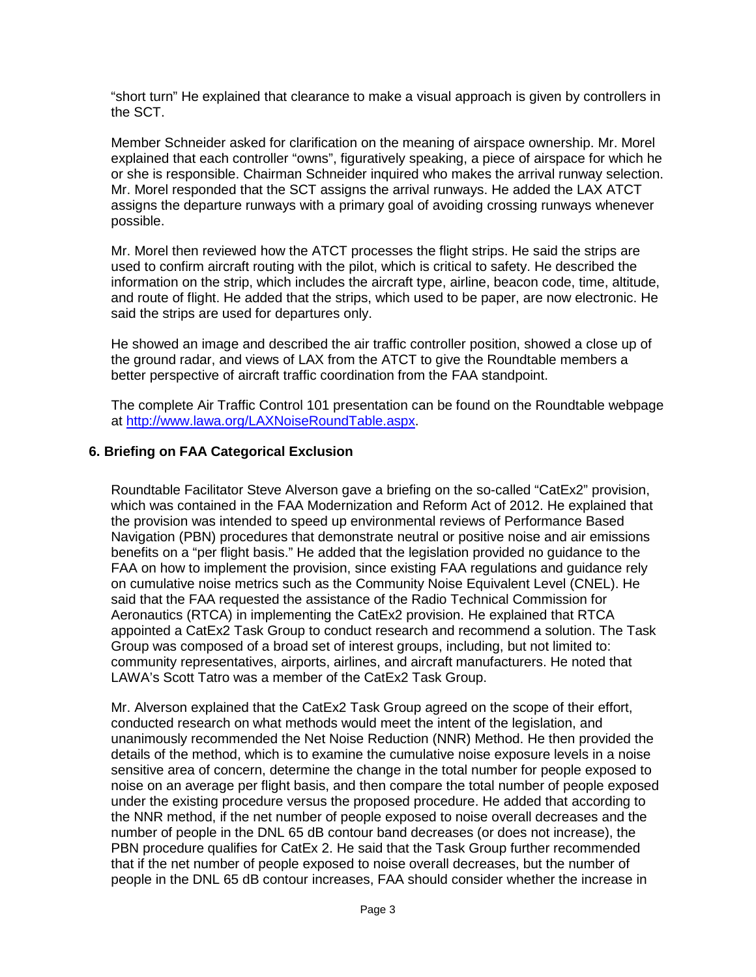"short turn" He explained that clearance to make a visual approach is given by controllers in the SCT.

Member Schneider asked for clarification on the meaning of airspace ownership. Mr. Morel explained that each controller "owns", figuratively speaking, a piece of airspace for which he or she is responsible. Chairman Schneider inquired who makes the arrival runway selection. Mr. Morel responded that the SCT assigns the arrival runways. He added the LAX ATCT assigns the departure runways with a primary goal of avoiding crossing runways whenever possible.

Mr. Morel then reviewed how the ATCT processes the flight strips. He said the strips are used to confirm aircraft routing with the pilot, which is critical to safety. He described the information on the strip, which includes the aircraft type, airline, beacon code, time, altitude, and route of flight. He added that the strips, which used to be paper, are now electronic. He said the strips are used for departures only.

He showed an image and described the air traffic controller position, showed a close up of the ground radar, and views of LAX from the ATCT to give the Roundtable members a better perspective of aircraft traffic coordination from the FAA standpoint.

The complete Air Traffic Control 101 presentation can be found on the Roundtable webpage at [http://www.lawa.org/LAXNoiseRoundTable.aspx.](http://www.lawa.org/LAXNoiseRoundTable.aspx)

#### **6. Briefing on FAA Categorical Exclusion**

Roundtable Facilitator Steve Alverson gave a briefing on the so-called "CatEx2" provision, which was contained in the FAA Modernization and Reform Act of 2012. He explained that the provision was intended to speed up environmental reviews of Performance Based Navigation (PBN) procedures that demonstrate neutral or positive noise and air emissions benefits on a "per flight basis." He added that the legislation provided no guidance to the FAA on how to implement the provision, since existing FAA regulations and guidance rely on cumulative noise metrics such as the Community Noise Equivalent Level (CNEL). He said that the FAA requested the assistance of the Radio Technical Commission for Aeronautics (RTCA) in implementing the CatEx2 provision. He explained that RTCA appointed a CatEx2 Task Group to conduct research and recommend a solution. The Task Group was composed of a broad set of interest groups, including, but not limited to: community representatives, airports, airlines, and aircraft manufacturers. He noted that LAWA's Scott Tatro was a member of the CatEx2 Task Group.

Mr. Alverson explained that the CatEx2 Task Group agreed on the scope of their effort, conducted research on what methods would meet the intent of the legislation, and unanimously recommended the Net Noise Reduction (NNR) Method. He then provided the details of the method, which is to examine the cumulative noise exposure levels in a noise sensitive area of concern, determine the change in the total number for people exposed to noise on an average per flight basis, and then compare the total number of people exposed under the existing procedure versus the proposed procedure. He added that according to the NNR method, if the net number of people exposed to noise overall decreases and the number of people in the DNL 65 dB contour band decreases (or does not increase), the PBN procedure qualifies for CatEx 2. He said that the Task Group further recommended that if the net number of people exposed to noise overall decreases, but the number of people in the DNL 65 dB contour increases, FAA should consider whether the increase in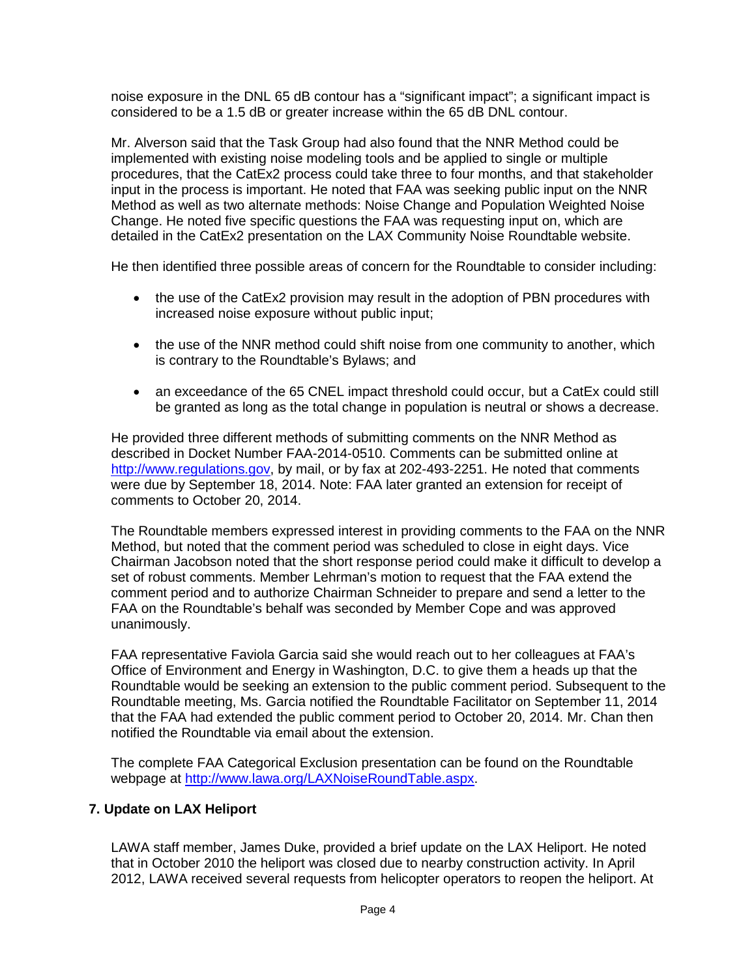noise exposure in the DNL 65 dB contour has a "significant impact"; a significant impact is considered to be a 1.5 dB or greater increase within the 65 dB DNL contour.

Mr. Alverson said that the Task Group had also found that the NNR Method could be implemented with existing noise modeling tools and be applied to single or multiple procedures, that the CatEx2 process could take three to four months, and that stakeholder input in the process is important. He noted that FAA was seeking public input on the NNR Method as well as two alternate methods: Noise Change and Population Weighted Noise Change. He noted five specific questions the FAA was requesting input on, which are detailed in the CatEx2 presentation on the LAX Community Noise Roundtable website.

He then identified three possible areas of concern for the Roundtable to consider including:

- the use of the CatEx2 provision may result in the adoption of PBN procedures with increased noise exposure without public input;
- the use of the NNR method could shift noise from one community to another, which is contrary to the Roundtable's Bylaws; and
- an exceedance of the 65 CNEL impact threshold could occur, but a CatEx could still be granted as long as the total change in population is neutral or shows a decrease.

He provided three different methods of submitting comments on the NNR Method as described in Docket Number FAA-2014-0510. Comments can be submitted online at [http://www.regulations.gov,](http://www.regulations.gov/) by mail, or by fax at 202-493-2251. He noted that comments were due by September 18, 2014. Note: FAA later granted an extension for receipt of comments to October 20, 2014.

The Roundtable members expressed interest in providing comments to the FAA on the NNR Method, but noted that the comment period was scheduled to close in eight days. Vice Chairman Jacobson noted that the short response period could make it difficult to develop a set of robust comments. Member Lehrman's motion to request that the FAA extend the comment period and to authorize Chairman Schneider to prepare and send a letter to the FAA on the Roundtable's behalf was seconded by Member Cope and was approved unanimously.

FAA representative Faviola Garcia said she would reach out to her colleagues at FAA's Office of Environment and Energy in Washington, D.C. to give them a heads up that the Roundtable would be seeking an extension to the public comment period. Subsequent to the Roundtable meeting, Ms. Garcia notified the Roundtable Facilitator on September 11, 2014 that the FAA had extended the public comment period to October 20, 2014. Mr. Chan then notified the Roundtable via email about the extension.

The complete FAA Categorical Exclusion presentation can be found on the Roundtable webpage at [http://www.lawa.org/LAXNoiseRoundTable.aspx.](http://www.lawa.org/LAXNoiseRoundTable.aspx)

## **7. Update on LAX Heliport**

LAWA staff member, James Duke, provided a brief update on the LAX Heliport. He noted that in October 2010 the heliport was closed due to nearby construction activity. In April 2012, LAWA received several requests from helicopter operators to reopen the heliport. At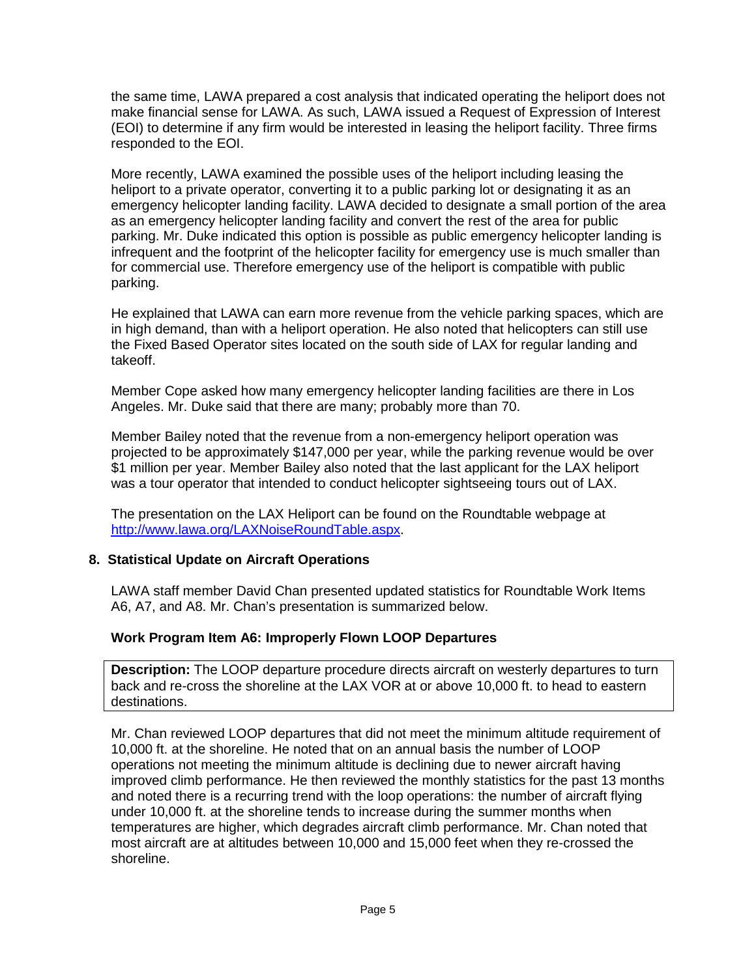the same time, LAWA prepared a cost analysis that indicated operating the heliport does not make financial sense for LAWA. As such, LAWA issued a Request of Expression of Interest (EOI) to determine if any firm would be interested in leasing the heliport facility. Three firms responded to the EOI.

More recently, LAWA examined the possible uses of the heliport including leasing the heliport to a private operator, converting it to a public parking lot or designating it as an emergency helicopter landing facility. LAWA decided to designate a small portion of the area as an emergency helicopter landing facility and convert the rest of the area for public parking. Mr. Duke indicated this option is possible as public emergency helicopter landing is infrequent and the footprint of the helicopter facility for emergency use is much smaller than for commercial use. Therefore emergency use of the heliport is compatible with public parking.

He explained that LAWA can earn more revenue from the vehicle parking spaces, which are in high demand, than with a heliport operation. He also noted that helicopters can still use the Fixed Based Operator sites located on the south side of LAX for regular landing and takeoff.

Member Cope asked how many emergency helicopter landing facilities are there in Los Angeles. Mr. Duke said that there are many; probably more than 70.

Member Bailey noted that the revenue from a non-emergency heliport operation was projected to be approximately \$147,000 per year, while the parking revenue would be over \$1 million per year. Member Bailey also noted that the last applicant for the LAX heliport was a tour operator that intended to conduct helicopter sightseeing tours out of LAX.

The presentation on the LAX Heliport can be found on the Roundtable webpage at [http://www.lawa.org/LAXNoiseRoundTable.aspx.](http://www.lawa.org/LAXNoiseRoundTable.aspx)

## **8. Statistical Update on Aircraft Operations**

LAWA staff member David Chan presented updated statistics for Roundtable Work Items A6, A7, and A8. Mr. Chan's presentation is summarized below.

## **Work Program Item A6: Improperly Flown LOOP Departures**

**Description:** The LOOP departure procedure directs aircraft on westerly departures to turn back and re-cross the shoreline at the LAX VOR at or above 10,000 ft. to head to eastern destinations.

Mr. Chan reviewed LOOP departures that did not meet the minimum altitude requirement of 10,000 ft. at the shoreline. He noted that on an annual basis the number of LOOP operations not meeting the minimum altitude is declining due to newer aircraft having improved climb performance. He then reviewed the monthly statistics for the past 13 months and noted there is a recurring trend with the loop operations: the number of aircraft flying under 10,000 ft. at the shoreline tends to increase during the summer months when temperatures are higher, which degrades aircraft climb performance. Mr. Chan noted that most aircraft are at altitudes between 10,000 and 15,000 feet when they re-crossed the shoreline.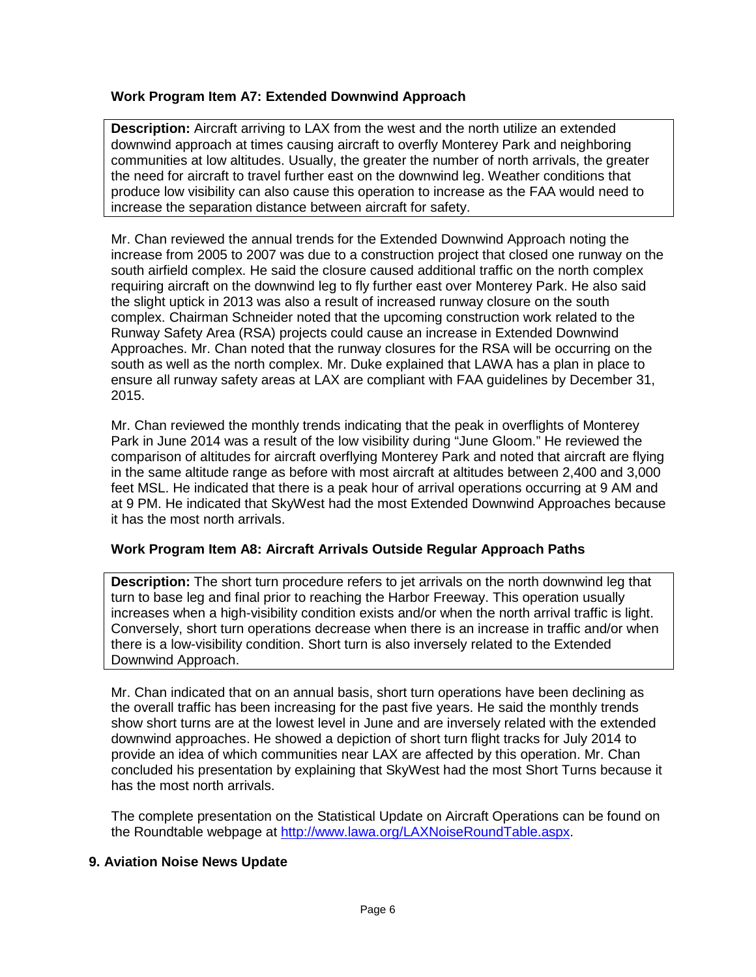## **Work Program Item A7: Extended Downwind Approach**

**Description:** Aircraft arriving to LAX from the west and the north utilize an extended downwind approach at times causing aircraft to overfly Monterey Park and neighboring communities at low altitudes. Usually, the greater the number of north arrivals, the greater the need for aircraft to travel further east on the downwind leg. Weather conditions that produce low visibility can also cause this operation to increase as the FAA would need to increase the separation distance between aircraft for safety.

Mr. Chan reviewed the annual trends for the Extended Downwind Approach noting the increase from 2005 to 2007 was due to a construction project that closed one runway on the south airfield complex. He said the closure caused additional traffic on the north complex requiring aircraft on the downwind leg to fly further east over Monterey Park. He also said the slight uptick in 2013 was also a result of increased runway closure on the south complex. Chairman Schneider noted that the upcoming construction work related to the Runway Safety Area (RSA) projects could cause an increase in Extended Downwind Approaches. Mr. Chan noted that the runway closures for the RSA will be occurring on the south as well as the north complex. Mr. Duke explained that LAWA has a plan in place to ensure all runway safety areas at LAX are compliant with FAA guidelines by December 31, 2015.

Mr. Chan reviewed the monthly trends indicating that the peak in overflights of Monterey Park in June 2014 was a result of the low visibility during "June Gloom." He reviewed the comparison of altitudes for aircraft overflying Monterey Park and noted that aircraft are flying in the same altitude range as before with most aircraft at altitudes between 2,400 and 3,000 feet MSL. He indicated that there is a peak hour of arrival operations occurring at 9 AM and at 9 PM. He indicated that SkyWest had the most Extended Downwind Approaches because it has the most north arrivals.

## **Work Program Item A8: Aircraft Arrivals Outside Regular Approach Paths**

**Description:** The short turn procedure refers to jet arrivals on the north downwind leg that turn to base leg and final prior to reaching the Harbor Freeway. This operation usually increases when a high-visibility condition exists and/or when the north arrival traffic is light. Conversely, short turn operations decrease when there is an increase in traffic and/or when there is a low-visibility condition. Short turn is also inversely related to the Extended Downwind Approach.

Mr. Chan indicated that on an annual basis, short turn operations have been declining as the overall traffic has been increasing for the past five years. He said the monthly trends show short turns are at the lowest level in June and are inversely related with the extended downwind approaches. He showed a depiction of short turn flight tracks for July 2014 to provide an idea of which communities near LAX are affected by this operation. Mr. Chan concluded his presentation by explaining that SkyWest had the most Short Turns because it has the most north arrivals.

The complete presentation on the Statistical Update on Aircraft Operations can be found on the Roundtable webpage at [http://www.lawa.org/LAXNoiseRoundTable.aspx.](http://www.lawa.org/LAXNoiseRoundTable.aspx)

#### **9. Aviation Noise News Update**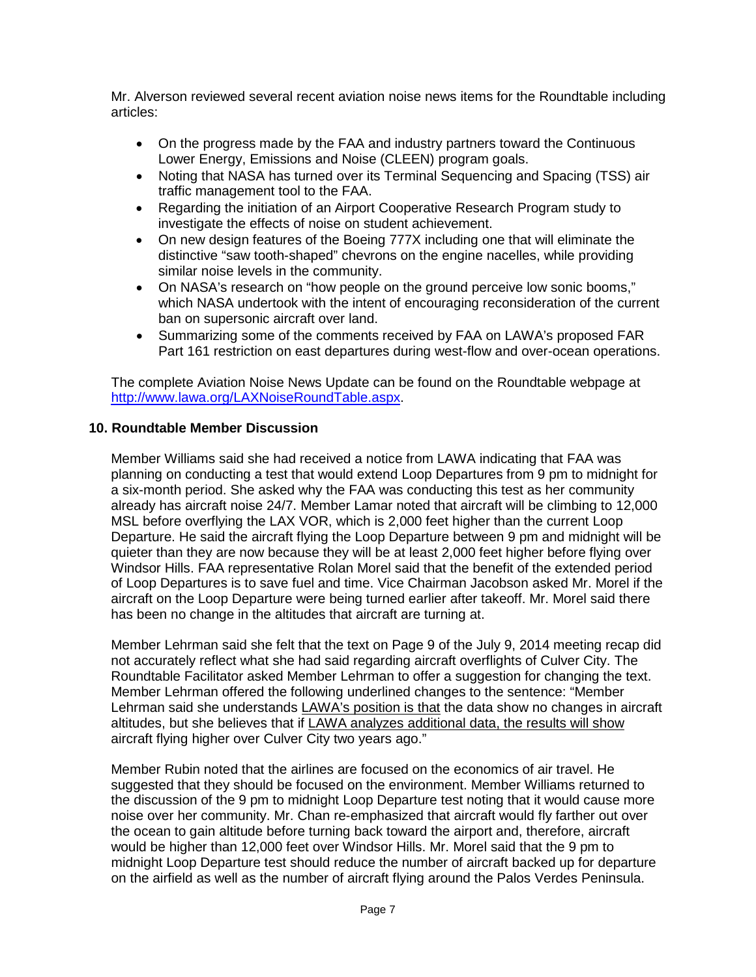Mr. Alverson reviewed several recent aviation noise news items for the Roundtable including articles:

- On the progress made by the FAA and industry partners toward the Continuous Lower Energy, Emissions and Noise (CLEEN) program goals.
- Noting that NASA has turned over its Terminal Sequencing and Spacing (TSS) air traffic management tool to the FAA.
- Regarding the initiation of an Airport Cooperative Research Program study to investigate the effects of noise on student achievement.
- On new design features of the Boeing 777X including one that will eliminate the distinctive "saw tooth-shaped" chevrons on the engine nacelles, while providing similar noise levels in the community.
- On NASA's research on "how people on the ground perceive low sonic booms," which NASA undertook with the intent of encouraging reconsideration of the current ban on supersonic aircraft over land.
- Summarizing some of the comments received by FAA on LAWA's proposed FAR Part 161 restriction on east departures during west-flow and over-ocean operations.

The complete Aviation Noise News Update can be found on the Roundtable webpage at [http://www.lawa.org/LAXNoiseRoundTable.aspx.](http://www.lawa.org/LAXNoiseRoundTable.aspx)

#### **10. Roundtable Member Discussion**

Member Williams said she had received a notice from LAWA indicating that FAA was planning on conducting a test that would extend Loop Departures from 9 pm to midnight for a six-month period. She asked why the FAA was conducting this test as her community already has aircraft noise 24/7. Member Lamar noted that aircraft will be climbing to 12,000 MSL before overflying the LAX VOR, which is 2,000 feet higher than the current Loop Departure. He said the aircraft flying the Loop Departure between 9 pm and midnight will be quieter than they are now because they will be at least 2,000 feet higher before flying over Windsor Hills. FAA representative Rolan Morel said that the benefit of the extended period of Loop Departures is to save fuel and time. Vice Chairman Jacobson asked Mr. Morel if the aircraft on the Loop Departure were being turned earlier after takeoff. Mr. Morel said there has been no change in the altitudes that aircraft are turning at.

Member Lehrman said she felt that the text on Page 9 of the July 9, 2014 meeting recap did not accurately reflect what she had said regarding aircraft overflights of Culver City. The Roundtable Facilitator asked Member Lehrman to offer a suggestion for changing the text. Member Lehrman offered the following underlined changes to the sentence: "Member Lehrman said she understands LAWA's position is that the data show no changes in aircraft altitudes, but she believes that if LAWA analyzes additional data, the results will show aircraft flying higher over Culver City two years ago."

Member Rubin noted that the airlines are focused on the economics of air travel. He suggested that they should be focused on the environment. Member Williams returned to the discussion of the 9 pm to midnight Loop Departure test noting that it would cause more noise over her community. Mr. Chan re-emphasized that aircraft would fly farther out over the ocean to gain altitude before turning back toward the airport and, therefore, aircraft would be higher than 12,000 feet over Windsor Hills. Mr. Morel said that the 9 pm to midnight Loop Departure test should reduce the number of aircraft backed up for departure on the airfield as well as the number of aircraft flying around the Palos Verdes Peninsula.